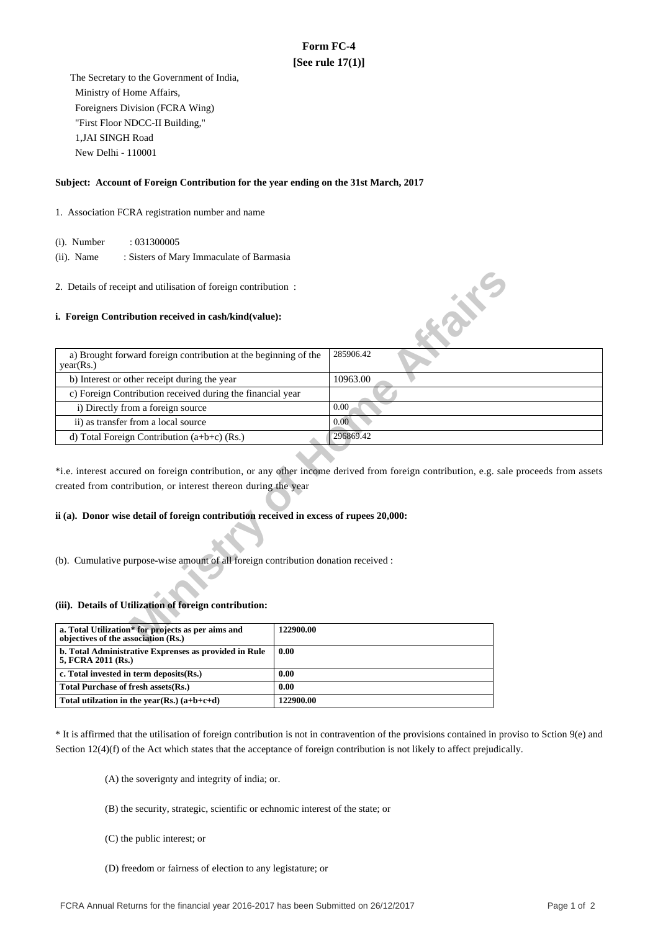# **Form FC-4 [See rule 17(1)]**

 The Secretary to the Government of India, Ministry of Home Affairs, Foreigners Division (FCRA Wing) "First Floor NDCC-II Building," 1,JAI SINGH Road New Delhi - 110001

### **Subject: Account of Foreign Contribution for the year ending on the 31st March, 2017**

#### 1. Association FCRA registration number and name

(i). Number : 031300005

 (ii). Name : Sisters of Mary Immaculate of Barmasia

#### **i. Foreign Contribution received in cash/kind(value):**

| 2. Details of receipt and utilisation of foreign contribution:                            |                                                                                                                                       |
|-------------------------------------------------------------------------------------------|---------------------------------------------------------------------------------------------------------------------------------------|
| i. Foreign Contribution received in cash/kind(value):                                     | <b>SILLER</b>                                                                                                                         |
| a) Brought forward foreign contribution at the beginning of the<br>year(Rs.)              | 285906.42                                                                                                                             |
| b) Interest or other receipt during the year                                              | 10963.00                                                                                                                              |
| c) Foreign Contribution received during the financial year                                |                                                                                                                                       |
| i) Directly from a foreign source                                                         | 0.00                                                                                                                                  |
| ii) as transfer from a local source                                                       | 0.00                                                                                                                                  |
| d) Total Foreign Contribution $(a+b+c)$ (Rs.)                                             | 296869.42                                                                                                                             |
| created from contribution, or interest thereon during the year                            | *i.e. interest accured on foreign contribution, or any other income derived from foreign contribution, e.g. sale proceeds from assets |
| ii (a). Donor wise detail of foreign contribution received in excess of rupees 20,000:    |                                                                                                                                       |
| (b). Cumulative purpose-wise amount of all foreign contribution donation received :       |                                                                                                                                       |
| (iii). Details of Utilization of foreign contribution:                                    |                                                                                                                                       |
| a. Total Utilization* for projects as per aims and<br>objectives of the association (Rs.) | 122900.00                                                                                                                             |

## **ii (a). Donor wise detail of foreign contribution received in excess of rupees 20,000:**

#### **(iii). Details of Utilization of foreign contribution:**

| a. Total Utilization* for projects as per aims and<br>objectives of the association (Rs.) | 122900.00 |
|-------------------------------------------------------------------------------------------|-----------|
| b. Total Administrative Exprenses as provided in Rule<br>5, FCRA 2011 (Rs.)               | 0.00      |
| c. Total invested in term deposits(Rs.)                                                   | 0.00      |
| Total Purchase of fresh assets (Rs.)                                                      | 0.00      |
| Total utilization in the year(Rs.) $(a+b+c+d)$                                            | 122900.00 |

\* It is affirmed that the utilisation of foreign contribution is not in contravention of the provisions contained in proviso to Sction 9(e) and Section 12(4)(f) of the Act which states that the acceptance of foreign contribution is not likely to affect prejudically.

(A) the soverignty and integrity of india; or.

- (B) the security, strategic, scientific or echnomic interest of the state; or
- (C) the public interest; or
- (D) freedom or fairness of election to any legistature; or